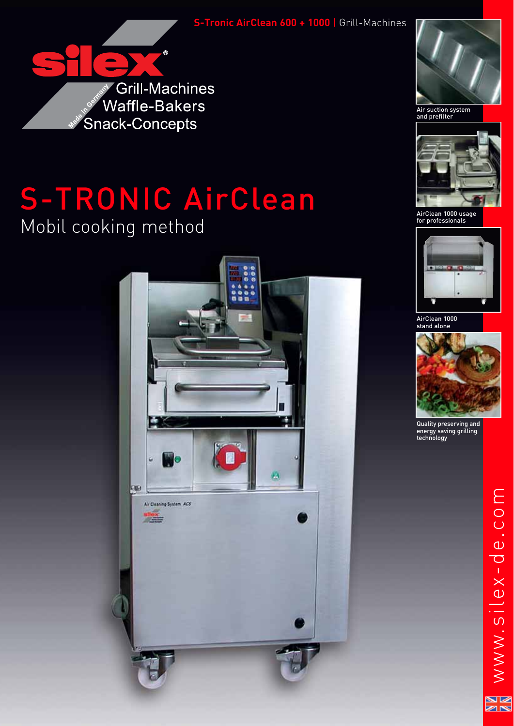**S-Tronic AirClean 600 + 1000 |** Grill-Machines



# S-TRONIC AirClean Mobil cooking method





Air suction system and prefilter



AirClean 1000 usage for professionals



AirClean 1000 stand alone



Quality preserving and energy saving grilling technology